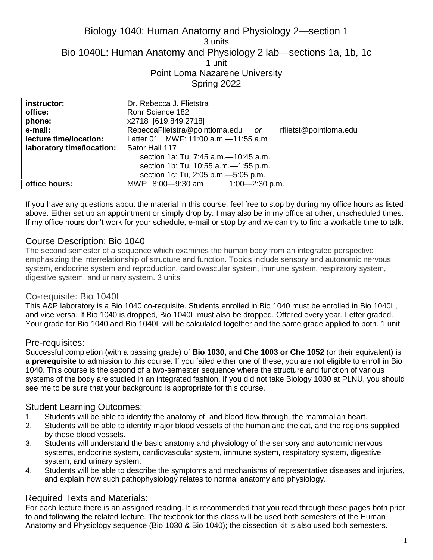# Biology 1040: Human Anatomy and Physiology 2—section 1 3 units Bio 1040L: Human Anatomy and Physiology 2 lab—sections 1a, 1b, 1c 1 unit Point Loma Nazarene University Spring 2022

| instructor:               | Dr. Rebecca J. Flietstra                                    |
|---------------------------|-------------------------------------------------------------|
| office:                   | Rohr Science 182                                            |
| phone:                    | x2718 [619.849.2718]                                        |
| e-mail:                   | RebeccaFlietstra@pointloma.edu or<br>rflietst@pointloma.edu |
| lecture time/location:    | Latter 01 MWF: 11:00 a.m. - 11:55 a.m                       |
| laboratory time/location: | Sator Hall 117                                              |
|                           | section 1a: Tu, 7:45 a.m. -10:45 a.m.                       |
|                           | section 1b: Tu, 10:55 a.m. - 1:55 p.m.                      |
|                           | section 1c: Tu, 2:05 p.m. - 5:05 p.m.                       |
| office hours:             | MWF: 8:00-9:30 am 1:00-2:30 p.m.                            |

If you have any questions about the material in this course, feel free to stop by during my office hours as listed above. Either set up an appointment or simply drop by. I may also be in my office at other, unscheduled times. If my office hours don't work for your schedule, e-mail or stop by and we can try to find a workable time to talk.

### Course Description: Bio 1040

The second semester of a sequence which examines the human body from an integrated perspective emphasizing the interrelationship of structure and function. Topics include sensory and autonomic nervous system, endocrine system and reproduction, cardiovascular system, immune system, respiratory system, digestive system, and urinary system. 3 units

### Co-requisite: Bio 1040L

This A&P laboratory is a Bio 1040 co-requisite. Students enrolled in Bio 1040 must be enrolled in Bio 1040L, and vice versa. If Bio 1040 is dropped, Bio 1040L must also be dropped. Offered every year. Letter graded. Your grade for Bio 1040 and Bio 1040L will be calculated together and the same grade applied to both. 1 unit

### Pre-requisites:

Successful completion (with a passing grade) of **Bio 1030,** and **Che 1003 or Che 1052** (or their equivalent) is a **prerequisite** to admission to this course. If you failed either one of these, you are not eligible to enroll in Bio 1040. This course is the second of a two-semester sequence where the structure and function of various systems of the body are studied in an integrated fashion. If you did not take Biology 1030 at PLNU, you should see me to be sure that your background is appropriate for this course.

### Student Learning Outcomes:

- 1. Students will be able to identify the anatomy of, and blood flow through, the mammalian heart.
- 2. Students will be able to identify major blood vessels of the human and the cat, and the regions supplied by these blood vessels.
- 3. Students will understand the basic anatomy and physiology of the sensory and autonomic nervous systems, endocrine system, cardiovascular system, immune system, respiratory system, digestive system, and urinary system.
- 4. Students will be able to describe the symptoms and mechanisms of representative diseases and injuries, and explain how such pathophysiology relates to normal anatomy and physiology.

### Required Texts and Materials:

For each lecture there is an assigned reading. It is recommended that you read through these pages both prior to and following the related lecture. The textbook for this class will be used both semesters of the Human Anatomy and Physiology sequence (Bio 1030 & Bio 1040); the dissection kit is also used both semesters.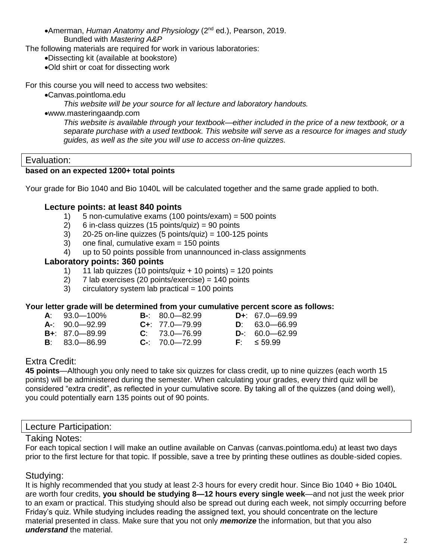Amerman, *Human Anatomy and Physiology* (2nd ed.), Pearson, 2019. Bundled with *Mastering A&P*

The following materials are required for work in various laboratories:

Dissecting kit (available at bookstore)

Old shirt or coat for dissecting work

For this course you will need to access two websites:

Canvas.pointloma.edu

*This website will be your source for all lecture and laboratory handouts.*

www.masteringaandp.com

*This website is available through your textbook—either included in the price of a new textbook, or a separate purchase with a used textbook. This website will serve as a resource for images and study guides, as well as the site you will use to access on-line quizzes.*

#### Evaluation:

#### **based on an expected 1200+ total points**

Your grade for Bio 1040 and Bio 1040L will be calculated together and the same grade applied to both.

#### **Lecture points: at least 840 points**

- 1) 5 non-cumulative exams (100 points/exam) = 500 points
- 2) 6 in-class quizzes (15 points/quiz) = 90 points
- $3)$  20-25 on-line quizzes (5 points/quiz) = 100-125 points
- 3) one final, cumulative exam = 150 points
- 4) up to 50 points possible from unannounced in-class assignments

#### **Laboratory points: 360 points**

- 1) 11 lab quizzes (10 points/quiz + 10 points) = 120 points
- 2) 7 lab exercises (20 points/exercise) = 140 points
- $3$  circulatory system lab practical = 100 points

#### **Your letter grade will be determined from your cumulative percent score as follows:**

| $A: 93.0 - 100\%$  | $B - 80.0 - 82.99$   | $D_{+}$ : 67.0 - 69.99 |
|--------------------|----------------------|------------------------|
| $A: 90.0 - 92.99$  | $C_{+}$ : 77.0-79.99 | $D: 63.0 - 66.99$      |
| $B + 87.0 - 89.99$ | $C: 73.0 - 76.99$    | $D-$ : 60.0 - 62.99    |
| $B: 83.0 - 86.99$  | $C-$ : 70.0-72.99    | $F: \leq 59.99$        |

- 
- 
- 

# Extra Credit:

**45 points**—Although you only need to take six quizzes for class credit, up to nine quizzes (each worth 15 points) will be administered during the semester. When calculating your grades, every third quiz will be considered "extra credit", as reflected in your cumulative score. By taking all of the quizzes (and doing well), you could potentially earn 135 points out of 90 points.

### Lecture Participation:

### Taking Notes:

For each topical section I will make an outline available on Canvas (canvas.pointloma.edu) at least two days prior to the first lecture for that topic. If possible, save a tree by printing these outlines as double-sided copies.

# Studying:

It is highly recommended that you study at least 2-3 hours for every credit hour. Since Bio 1040 + Bio 1040L are worth four credits, **you should be studying 8—12 hours every single week**—and not just the week prior to an exam or practical. This studying should also be spread out during each week, not simply occurring before Friday's quiz. While studying includes reading the assigned text, you should concentrate on the lecture material presented in class. Make sure that you not only *memorize* the information, but that you also *understand* the material.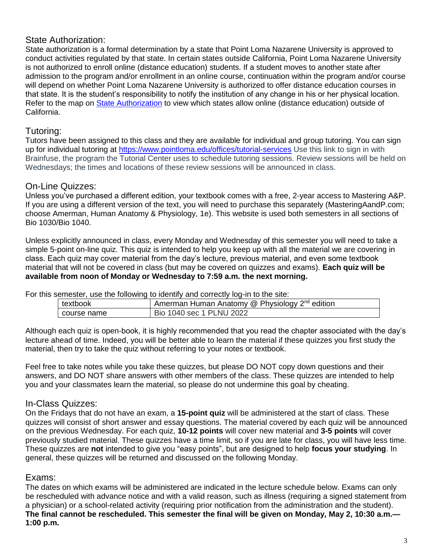# State Authorization:

State authorization is a formal determination by a state that Point Loma Nazarene University is approved to conduct activities regulated by that state. In certain states outside California, Point Loma Nazarene University is not authorized to enroll online (distance education) students. If a student moves to another state after admission to the program and/or enrollment in an online course, continuation within the program and/or course will depend on whether Point Loma Nazarene University is authorized to offer distance education courses in that state. It is the student's responsibility to notify the institution of any change in his or her physical location. Refer to the map on [State Authorization](https://www.pointloma.edu/offices/office-institutional-effectiveness-research/disclosures) to view which states allow online (distance education) outside of California.

# Tutoring:

Tutors have been assigned to this class and they are available for individual and group tutoring. You can sign up for individual tutoring at<https://www.pointloma.edu/offices/tutorial-services> Use this link to sign in with Brainfuse, the program the Tutorial Center uses to schedule tutoring sessions. Review sessions will be held on Wednesdays; the times and locations of these review sessions will be announced in class.

# On-Line Quizzes:

Unless you've purchased a different edition, your textbook comes with a free, 2-year access to Mastering A&P. If you are using a different version of the text, you will need to purchase this separately (MasteringAandP.com; choose Amerman, Human Anatomy & Physiology, 1e). This website is used both semesters in all sections of Bio 1030/Bio 1040.

Unless explicitly announced in class, every Monday and Wednesday of this semester you will need to take a simple 5-point on-line quiz. This quiz is intended to help you keep up with all the material we are covering in class. Each quiz may cover material from the day's lecture, previous material, and even some textbook material that will not be covered in class (but may be covered on quizzes and exams). **Each quiz will be available from noon of Monday or Wednesday to 7:59 a.m. the next morning.**

For this semester, use the following to identify and correctly log-in to the site:

| textbook      | Amerman Human Anatomy @ Physiology 2 <sup>nd</sup> edition |
|---------------|------------------------------------------------------------|
| I course name | Bio 1040 sec 1 PLNU 2022                                   |

Although each quiz is open-book, it is highly recommended that you read the chapter associated with the day's lecture ahead of time. Indeed, you will be better able to learn the material if these quizzes you first study the material, then try to take the quiz without referring to your notes or textbook.

Feel free to take notes while you take these quizzes, but please DO NOT copy down questions and their answers, and DO NOT share answers with other members of the class. These quizzes are intended to help you and your classmates learn the material, so please do not undermine this goal by cheating.

# In-Class Quizzes:

On the Fridays that do not have an exam, a **15-point quiz** will be administered at the start of class. These quizzes will consist of short answer and essay questions. The material covered by each quiz will be announced on the previous Wednesday. For each quiz, **10-12 points** will cover new material and **3-5 points** will cover previously studied material. These quizzes have a time limit, so if you are late for class, you will have less time. These quizzes are **not** intended to give you "easy points", but are designed to help **focus your studying**. In general, these quizzes will be returned and discussed on the following Monday.

# Exams:

The dates on which exams will be administered are indicated in the lecture schedule below. Exams can only be rescheduled with advance notice and with a valid reason, such as illness (requiring a signed statement from a physician) or a school-related activity (requiring prior notification from the administration and the student). **The final cannot be rescheduled. This semester the final will be given on Monday, May 2, 10:30 a.m.— 1:00 p.m.**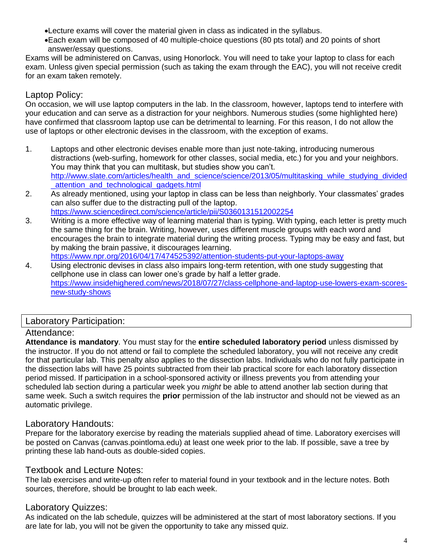Lecture exams will cover the material given in class as indicated in the syllabus.

Each exam will be composed of 40 multiple-choice questions (80 pts total) and 20 points of short answer/essay questions.

Exams will be administered on Canvas, using Honorlock. You will need to take your laptop to class for each exam. Unless given special permission (such as taking the exam through the EAC), you will not receive credit for an exam taken remotely.

# Laptop Policy:

On occasion, we will use laptop computers in the lab. In the classroom, however, laptops tend to interfere with your education and can serve as a distraction for your neighbors. Numerous studies (some highlighted here) have confirmed that classroom laptop use can be detrimental to learning. For this reason, I do not allow the use of laptops or other electronic devises in the classroom, with the exception of exams.

- 1. Laptops and other electronic devises enable more than just note-taking, introducing numerous distractions (web-surfing, homework for other classes, social media, etc.) for you and your neighbors. You may think that you can multitask, but studies show you can't. [http://www.slate.com/articles/health\\_and\\_science/science/2013/05/multitasking\\_while\\_studying\\_divided](http://www.slate.com/articles/health_and_science/science/2013/05/multitasking_while_studying_divided_attention_and_technological_gadgets.html) attention and technological gadgets.html
- 2. As already mentioned, using your laptop in class can be less than neighborly. Your classmates' grades can also suffer due to the distracting pull of the laptop. <https://www.sciencedirect.com/science/article/pii/S0360131512002254>
- 3. Writing is a more effective way of learning material than is typing. With typing, each letter is pretty much the same thing for the brain. Writing, however, uses different muscle groups with each word and encourages the brain to integrate material during the writing process. Typing may be easy and fast, but by making the brain passive, it discourages learning.

<https://www.npr.org/2016/04/17/474525392/attention-students-put-your-laptops-away>

4. Using electronic devises in class also impairs long-term retention, with one study suggesting that cellphone use in class can lower one's grade by half a letter grade. [https://www.insidehighered.com/news/2018/07/27/class-cellphone-and-laptop-use-lowers-exam-scores](https://www.insidehighered.com/news/2018/07/27/class-cellphone-and-laptop-use-lowers-exam-scores-new-study-shows)[new-study-shows](https://www.insidehighered.com/news/2018/07/27/class-cellphone-and-laptop-use-lowers-exam-scores-new-study-shows)

# Laboratory Participation:

# Attendance:

**Attendance is mandatory**. You must stay for the **entire scheduled laboratory period** unless dismissed by the instructor. If you do not attend or fail to complete the scheduled laboratory, you will not receive any credit for that particular lab. This penalty also applies to the dissection labs. Individuals who do not fully participate in the dissection labs will have 25 points subtracted from their lab practical score for each laboratory dissection period missed. If participation in a school-sponsored activity or illness prevents you from attending your scheduled lab section during a particular week you *might* be able to attend another lab section during that same week. Such a switch requires the **prior** permission of the lab instructor and should not be viewed as an automatic privilege.

# Laboratory Handouts:

Prepare for the laboratory exercise by reading the materials supplied ahead of time. Laboratory exercises will be posted on Canvas (canvas.pointloma.edu) at least one week prior to the lab. If possible, save a tree by printing these lab hand-outs as double-sided copies.

# Textbook and Lecture Notes:

The lab exercises and write-up often refer to material found in your textbook and in the lecture notes. Both sources, therefore, should be brought to lab each week.

# Laboratory Quizzes:

As indicated on the lab schedule, quizzes will be administered at the start of most laboratory sections. If you are late for lab, you will not be given the opportunity to take any missed quiz.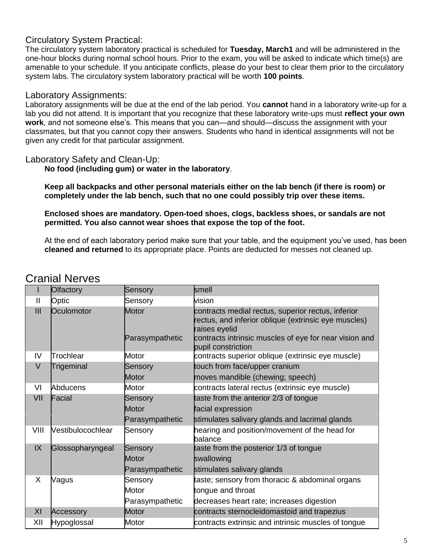### Circulatory System Practical:

The circulatory system laboratory practical is scheduled for **Tuesday, March1** and will be administered in the one-hour blocks during normal school hours. Prior to the exam, you will be asked to indicate which time(s) are amenable to your schedule. If you anticipate conflicts, please do your best to clear them prior to the circulatory system labs. The circulatory system laboratory practical will be worth **100 points**.

### Laboratory Assignments:

Laboratory assignments will be due at the end of the lab period. You **cannot** hand in a laboratory write-up for a lab you did not attend. It is important that you recognize that these laboratory write-ups must **reflect your own work**, and not someone else's. This means that you can—and should—discuss the assignment with your classmates, but that you cannot copy their answers. Students who hand in identical assignments will not be given any credit for that particular assignment.

#### Laboratory Safety and Clean-Up:

**No food (including gum) or water in the laboratory**.

**Keep all backpacks and other personal materials either on the lab bench (if there is room) or completely under the lab bench, such that no one could possibly trip over these items.**

#### **Enclosed shoes are mandatory. Open-toed shoes, clogs, backless shoes, or sandals are not permitted. You also cannot wear shoes that expose the top of the foot.**

At the end of each laboratory period make sure that your table, and the equipment you've used, has been **cleaned and returned** to its appropriate place. Points are deducted for messes not cleaned up.

|               | <b>Olfactory</b>  | Sensory                  | smell                                                                                                                                                                                 |
|---------------|-------------------|--------------------------|---------------------------------------------------------------------------------------------------------------------------------------------------------------------------------------|
| $\mathbf{I}$  | Optic             | Sensory                  | vision                                                                                                                                                                                |
| III           | Oculomotor        | Motor<br>Parasympathetic | contracts medial rectus, superior rectus, inferior<br>rectus, and inferior oblique (extrinsic eye muscles)<br>raises eyelid<br>contracts intrinsic muscles of eye for near vision and |
| IV            | Trochlear         | Motor                    | pupil constriction<br>contracts superior oblique (extrinsic eye muscle)                                                                                                               |
| $\vee$        | Trigeminal        | Sensory                  | touch from face/upper cranium                                                                                                                                                         |
|               |                   | <b>Motor</b>             | moves mandible (chewing; speech)                                                                                                                                                      |
| VI            | Abducens          | Motor                    | contracts lateral rectus (extrinsic eye muscle)                                                                                                                                       |
| VII           | Facial            | Sensory                  | taste from the anterior 2/3 of tongue                                                                                                                                                 |
|               |                   | Motor                    | facial expression                                                                                                                                                                     |
|               |                   | Parasympathetic          | stimulates salivary glands and lacrimal glands                                                                                                                                        |
| VIII          | Vestibulocochlear | Sensory                  | hearing and position/movement of the head for<br>balance                                                                                                                              |
| $\mathsf{IX}$ | Glossopharyngeal  | Sensory                  | taste from the posterior 1/3 of tongue                                                                                                                                                |
|               |                   | Motor                    | swallowing                                                                                                                                                                            |
|               |                   | Parasympathetic          | stimulates salivary glands                                                                                                                                                            |
| X             | Vagus             | Sensory                  | taste; sensory from thoracic & abdominal organs                                                                                                                                       |
|               |                   | Motor                    | tongue and throat                                                                                                                                                                     |
|               |                   | Parasympathetic          | decreases heart rate; increases digestion                                                                                                                                             |
| XI            | Accessory         | <b>Motor</b>             | contracts sternocleidomastoid and trapezius                                                                                                                                           |
| XII           | Hypoglossal       | Motor                    | contracts extrinsic and intrinsic muscles of tongue                                                                                                                                   |

# Cranial Nerves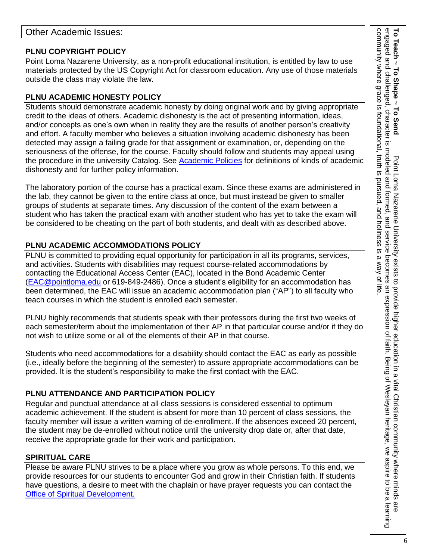### **PLNU COPYRIGHT POLICY**

Point Loma Nazarene University, as a non-profit educational institution, is entitled by law to use materials protected by the US Copyright Act for classroom education. Any use of those materials outside the class may violate the law.

### **PLNU ACADEMIC HONESTY POLICY**

Students should demonstrate academic honesty by doing original work and by giving appropriate credit to the ideas of others. Academic dishonesty is the act of presenting information, ideas, and/or concepts as one's own when in reality they are the results of another person's creativity and effort. A faculty member who believes a situation involving academic dishonesty has been detected may assign a failing grade for that assignment or examination, or, depending on the seriousness of the offense, for the course. Faculty should follow and students may appeal using the procedure in the university Catalog. See [Academic Policies](https://catalog.pointloma.edu/content.php?catoid=52&navoid=2919#Academic_Honesty) for definitions of kinds of academic dishonesty and for further policy information.

The laboratory portion of the course has a practical exam. Since these exams are administered in the lab, they cannot be given to the entire class at once, but must instead be given to smaller groups of students at separate times. Any discussion of the content of the exam between a student who has taken the practical exam with another student who has yet to take the exam will be considered to be cheating on the part of both students, and dealt with as described above.

### **PLNU ACADEMIC ACCOMMODATIONS POLICY**

PLNU is committed to providing equal opportunity for participation in all its programs, services, and activities. Students with disabilities may request course-related accommodations by contacting the Educational Access Center (EAC), located in the Bond Academic Center [\(EAC@pointloma.edu](mailto:EAC@pointloma.edu) or 619-849-2486). Once a student's eligibility for an accommodation has been determined, the EAC will issue an academic accommodation plan ("AP") to all faculty who teach courses in which the student is enrolled each semester.

PLNU highly recommends that students speak with their professors during the first two weeks of each semester/term about the implementation of their AP in that particular course and/or if they do not wish to utilize some or all of the elements of their AP in that course.

Students who need accommodations for a disability should contact the EAC as early as possible (i.e., ideally before the beginning of the semester) to assure appropriate accommodations can be provided. It is the student's responsibility to make the first contact with the EAC.

### **PLNU ATTENDANCE AND PARTICIPATION POLICY**

Regular and punctual attendance at all class sessions is considered essential to optimum academic achievement. If the student is absent for more than 10 percent of class sessions, the faculty member will issue a written warning of de-enrollment. If the absences exceed 20 percent, the student may be de-enrolled without notice until the university drop date or, after that date, receive the appropriate grade for their work and participation.

### **SPIRITUAL CARE**

Please be aware PLNU strives to be a place where you grow as whole persons. To this end, we provide resources for our students to encounter God and grow in their Christian faith. If students have questions, a desire to meet with the chaplain or have prayer requests you can contact the Office of Spiritual Development.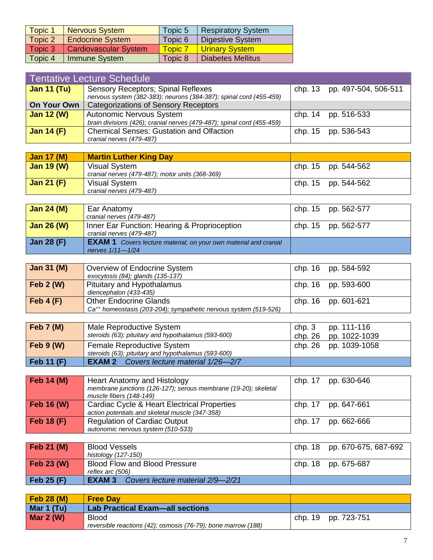| <b>Topic 1</b> | <b>Nervous System</b>        | Topic 5        | <b>Respiratory System</b> |
|----------------|------------------------------|----------------|---------------------------|
| Topic 2        | <b>Endocrine System</b>      | Topic 6        | Digestive System          |
| Topic 3        | <b>Cardiovascular System</b> | <b>Topic 7</b> | Urinary System            |
| Topic 4        | Immune System                | Topic 8        | <b>Diabetes Mellitus</b>  |

| Tentative Lecture Schedule |                                                                                                           |  |                              |  |  |
|----------------------------|-----------------------------------------------------------------------------------------------------------|--|------------------------------|--|--|
| Jan 11 $(Tu)$              | Sensory Receptors; Spinal Reflexes<br>nervous system (382-383); neurons (384-387); spinal cord (455-459)  |  | chp. 13 pp. 497-504, 506-511 |  |  |
| On Your Own                | <b>Categorizations of Sensory Receptors</b>                                                               |  |                              |  |  |
| <b>Jan 12 (W)</b>          | <b>Autonomic Nervous System</b><br>brain divisions (426); cranial nerves (479-487); spinal cord (455-459) |  | chp. 14 pp. 516-533          |  |  |
| <b>Jan 14 (F)</b>          | <b>Chemical Senses: Gustation and Olfaction</b><br>cranial nerves (479-487)                               |  | chp. 15 pp. 536-543          |  |  |

| Jan $17 \, (M)$   | <b>Martin Luther King Day</b>                                           |                     |
|-------------------|-------------------------------------------------------------------------|---------------------|
| <b>Jan 19 (W)</b> | <b>Visual System</b><br>cranial nerves (479-487); motor units (368-369) | chp. 15 pp. 544-562 |
| Jan 21 $(F)$      | Visual System<br>cranial nerves (479-487)                               | chp. 15 pp. 544-562 |

| Jan $24(M)$       | Ear Anatomy                                                                                     | chp. 15 pp. 562-577 |
|-------------------|-------------------------------------------------------------------------------------------------|---------------------|
|                   | cranial nerves (479-487)                                                                        |                     |
| <b>Jan 26 (W)</b> | Inner Ear Function: Hearing & Proprioception<br>cranial nerves (479-487)                        | chp. 15 pp. 562-577 |
| Jan 28 (F)        | <b>EXAM 1</b> Covers lecture material, on your own material and cranial<br>nerves $1/11 - 1/24$ |                     |

| <b>Jan 31 (M)</b> | Overview of Endocrine System<br>exocytosis (84); glands (135-137)                                      | chp. 16 pp. 584-592 |
|-------------------|--------------------------------------------------------------------------------------------------------|---------------------|
| Feb $2(W)$        | Pituitary and Hypothalamus<br>diencephalon (433-435)                                                   | chp. 16 pp. 593-600 |
| Feb $4(F)$        | Other Endocrine Glands<br>Ca <sup>++</sup> homeostasis (203-204); sympathetic nervous system (519-526) | chp. 16 pp. 601-621 |

| Feb 7 (M)  | Male Reproductive System<br>steroids (63); pituitary and hypothalamus (593-600)   | chp. 3 | pp. 111-116<br>chp. 26 pp. 1022-1039 |
|------------|-----------------------------------------------------------------------------------|--------|--------------------------------------|
| Feb 9 (W)  | Female Reproductive System<br>steroids (63); pituitary and hypothalamus (593-600) |        | chp. 26 pp. 1039-1058                |
| Feb 11 (F) | <b>EXAM 2</b> Covers lecture material 1/26-2/7                                    |        |                                      |

| Feb 14 (M)        | Heart Anatomy and Histology<br>membrane junctions (126-127); serous membrane (19-20); skeletal<br>muscle fibers (148-149) | chp. 17 pp. 630-646 |
|-------------------|---------------------------------------------------------------------------------------------------------------------------|---------------------|
| <b>Feb 16 (W)</b> | Cardiac Cycle & Heart Electrical Properties<br>action potentials and skeletal muscle (347-358)                            | chp. 17 pp. 647-661 |
| <b>Feb 18 (F)</b> | <b>Regulation of Cardiac Output</b><br>autonomic nervous system (510-533)                                                 | chp. 17 pp. 662-666 |

| Feb 21 (M)  | <b>Blood Vessels</b><br>histology (127-150)              | chp. 18 pp. 670-675, 687-692 |
|-------------|----------------------------------------------------------|------------------------------|
| Feb 23 (W)  | <b>Blood Flow and Blood Pressure</b><br>reflex arc (506) | chp. 18 pp. 675-687          |
| Feb $25(F)$ | EXAM 3<br>Covers lecture material 2/9-2/21               |                              |

| Feb 28 (M) | <b>Free Day</b>                                               |                     |
|------------|---------------------------------------------------------------|---------------------|
| Mar 1 (Tu) | <b>Lab Practical Exam-all sections</b>                        |                     |
| Mar $2(W)$ | <b>Blood</b>                                                  | chp. 19 pp. 723-751 |
|            | reversible reactions (42); osmosis (76-79); bone marrow (188) |                     |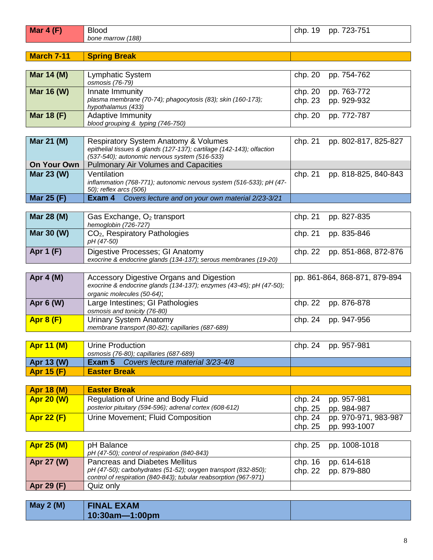| Mar $4(F)$         | <b>Blood</b>                                                                                                                       | chp. 19 | pp. 723-751                   |
|--------------------|------------------------------------------------------------------------------------------------------------------------------------|---------|-------------------------------|
|                    | bone marrow (188)                                                                                                                  |         |                               |
| <b>March 7-11</b>  | <b>Spring Break</b>                                                                                                                |         |                               |
|                    |                                                                                                                                    |         |                               |
| Mar 14 (M)         | Lymphatic System<br>osmosis (76-79)                                                                                                | chp. 20 | pp. 754-762                   |
| Mar 16 (W)         | Innate Immunity                                                                                                                    | chp. 20 | pp. 763-772                   |
|                    | plasma membrane (70-74); phagocytosis (83); skin (160-173);<br>hypothalamus (433)                                                  | chp. 23 | pp. 929-932                   |
| <b>Mar 18 (F)</b>  | <b>Adaptive Immunity</b>                                                                                                           | chp. 20 | pp. 772-787                   |
|                    | blood grouping & typing (746-750)                                                                                                  |         |                               |
| Mar 21 (M)         | Respiratory System Anatomy & Volumes                                                                                               | chp. 21 | pp. 802-817, 825-827          |
|                    | epithelial tissues & glands (127-137); cartilage (142-143); olfaction<br>(537-540); autonomic nervous system (516-533)             |         |                               |
| <b>On Your Own</b> | <b>Pulmonary Air Volumes and Capacities</b>                                                                                        |         |                               |
| Mar 23 (W)         | Ventilation                                                                                                                        | chp. 21 | pp. 818-825, 840-843          |
|                    | inflammation (768-771); autonomic nervous system (516-533); pH (47-<br>50); reflex arcs (506)                                      |         |                               |
| <b>Mar 25 (F)</b>  | <b>Exam 4</b> Covers lecture and on your own material 2/23-3/21                                                                    |         |                               |
|                    |                                                                                                                                    |         |                               |
| Mar 28 (M)         | Gas Exchange, O <sub>2</sub> transport<br>hemoglobin (726-727)                                                                     | chp. 21 | pp. 827-835                   |
| Mar 30 (W)         | CO <sub>2</sub> , Respiratory Pathologies<br>pH (47-50)                                                                            | chp. 21 | pp. 835-846                   |
| <b>Apr 1 (F)</b>   | Digestive Processes; GI Anatomy                                                                                                    | chp. 22 | pp. 851-868, 872-876          |
|                    | exocrine & endocrine glands (134-137); serous membranes (19-20)                                                                    |         |                               |
|                    |                                                                                                                                    |         |                               |
| Apr 4 (M)          | Accessory Digestive Organs and Digestion<br>exocrine & endocrine glands (134-137); enzymes (43-45); pH (47-50);                    |         | pp. 861-864, 868-871, 879-894 |
| Apr 6 (W)          | organic molecules (50-64);<br>Large Intestines; GI Pathologies                                                                     | chp. 22 | pp. 876-878                   |
|                    | osmosis and tonicity (76-80)                                                                                                       |         |                               |
| <b>Apr 8 (F)</b>   | <b>Urinary System Anatomy</b><br>membrane transport (80-82); capillaries (687-689)                                                 | chp. 24 | pp. 947-956                   |
|                    |                                                                                                                                    |         |                               |
| <b>Apr 11 (M)</b>  | <b>Urine Production</b>                                                                                                            | chp. 24 | pp. 957-981                   |
|                    | osmosis (76-80); capillaries (687-689)                                                                                             |         |                               |
| Apr 13 (W)         | Exam 5<br>Covers lecture material 3/23-4/8                                                                                         |         |                               |
| <b>Apr 15 (F)</b>  | <b>Easter Break</b>                                                                                                                |         |                               |
| <b>Apr 18 (M)</b>  | <b>Easter Break</b>                                                                                                                |         |                               |
| <b>Apr 20 (W)</b>  | Regulation of Urine and Body Fluid                                                                                                 | chp. 24 | pp. 957-981                   |
|                    | posterior pituitary (594-596); adrenal cortex (608-612)                                                                            | chp. 25 | pp. 984-987                   |
| <b>Apr 22 (F)</b>  | Urine Movement; Fluid Composition                                                                                                  | chp. 24 | pp. 970-971, 983-987          |
|                    |                                                                                                                                    | chp. 25 | pp. 993-1007                  |
|                    |                                                                                                                                    |         |                               |
| <b>Apr 25 (M)</b>  | pH Balance<br>pH (47-50); control of respiration (840-843)                                                                         | chp. 25 | pp. 1008-1018                 |
| Apr 27 (W)         | <b>Pancreas and Diabetes Mellitus</b>                                                                                              | chp. 16 | pp. 614-618                   |
|                    | pH (47-50); carbohydrates (51-52); oxygen transport (832-850);<br>control of respiration (840-843); tubular reabsorption (967-971) | chp. 22 | pp. 879-880                   |
| Apr 29 (F)         | Quiz only                                                                                                                          |         |                               |
|                    |                                                                                                                                    |         |                               |
| <b>May 2 (M)</b>   | <b>FINAL EXAM</b>                                                                                                                  |         |                               |
|                    | 10:30am-1:00pm                                                                                                                     |         |                               |